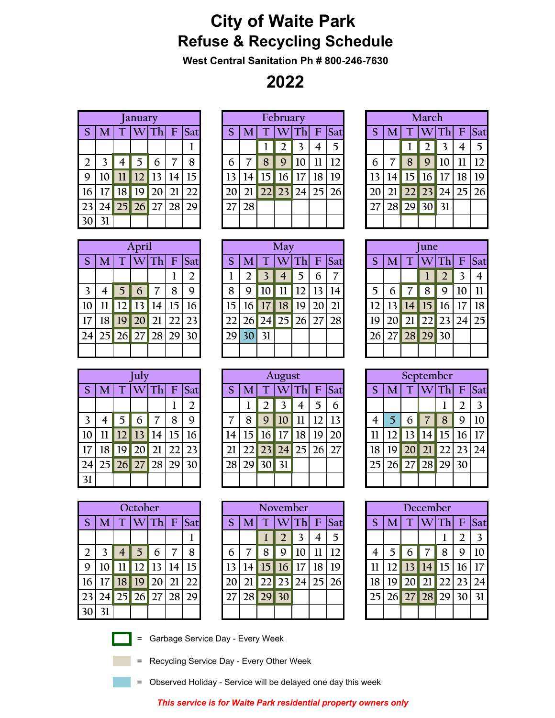## **City of Waite Park Refuse & Recycling Schedule**

**West Central Sanitation Ph # 800-246-7630**

**2022**

|                  |    |    | <b>January</b>         |            |    |
|------------------|----|----|------------------------|------------|----|
| <sub>S</sub>     | M  |    | $T$ WTh F Sat          |            |    |
|                  |    |    |                        |            |    |
| $\overline{2}$   | 3  | 4  | $\overline{5}$         | 6          | 8  |
| 9                | 10 | 11 |                        | $12$ 13 14 | 15 |
| 16               |    |    | 17   18   19   20   21 |            | 22 |
| 23               |    |    | 24 25 26 27 28 29      |            |    |
| $\overline{130}$ | 31 |    |                        |            |    |

|                |    |                 | <b>January</b> |    |    |     |    |    |                 | February         |    |    |                 |    |    |    | March           |      |             |     |
|----------------|----|-----------------|----------------|----|----|-----|----|----|-----------------|------------------|----|----|-----------------|----|----|----|-----------------|------|-------------|-----|
| <sub>S</sub>   |    |                 |                | hl | F  | Sat |    | M  |                 |                  |    | F  | Sat             | S  |    |    |                 | Thl  | $\mathbf F$ | Sat |
|                |    |                 |                |    |    | л   |    |    |                 |                  |    |    | 5               |    |    |    |                 |      | 4           |     |
| $\overline{2}$ |    |                 | 5              | 6  |    | 8   | 6  |    | 8               | 9                | 10 |    |                 | 6  |    | 8  | 9               | 10   | 11          | 12  |
| 9              |    |                 | 12             |    | 14 | 15  | 13 | 14 | 15 <sup>1</sup> | $\vert 16 \vert$ | 17 | 18 | 19              | 13 | 4  | 15 | 16 <sup>1</sup> | , 17 | 18          | 19  |
| 16             | 17 | 18 <sup>1</sup> | 19             | 20 | 21 | 22  |    |    |                 | 23               | 24 |    | 26 <sub>1</sub> | 20 |    | 22 | 23              | 24   | 125         | 26  |
| 23             | 24 | 25              | 26             |    | 28 | 29  |    | 28 |                 |                  |    |    |                 | 27 | 28 | 29 | 30              | 31   |             |     |
| 30             | 31 |                 |                |    |    |     |    |    |                 |                  |    |    |                 |    |    |    |                 |      |             |     |

|    |   | March             |                         |    |                         |
|----|---|-------------------|-------------------------|----|-------------------------|
| S  |   | $M$ T WTh F Sat   |                         |    |                         |
|    |   | 2 <sup>1</sup>    | $\overline{\mathbf{3}}$ |    | $\overline{\mathbf{5}}$ |
| 6  | 8 | 910               |                         | 11 | <sup>12</sup>           |
| 13 |   | $14$ 15 16 17 18  |                         |    | 19                      |
| 20 |   | 21 22 23 24 25 26 |                         |    |                         |
|    |   | 27 28 29 30 31    |                         |    |                         |
|    |   |                   |                         |    |                         |

|    |                |                                  | April |          |   |                |    |                |                | May         |
|----|----------------|----------------------------------|-------|----------|---|----------------|----|----------------|----------------|-------------|
| S  | M <sub>l</sub> |                                  |       |          |   | $T$ W Th F Sat |    |                | T V            |             |
|    |                |                                  |       |          |   | 2              |    | $\overline{2}$ | $\overline{3}$ |             |
| 3  |                |                                  |       | $7 \mid$ | 8 | 9              |    | 9              | 10             | 11          |
| 10 |                | $11$   $12$   $13$   $14$   $15$ |       |          |   | 16             | 15 |                | $16$ 17 18     |             |
|    |                | 18 19 20 21 22 23                |       |          |   |                |    |                |                | 22 26 24 25 |
|    |                | 24 25 26 27 28 29 30             |       |          |   |                | 29 | $30\vert 31$   |                |             |
|    |                |                                  |       |          |   |                |    |                |                |             |

|                 |    |    | April     |       |              |     |        |     |    | May       |    |    |     |    |    |    | June      |          |    |     |
|-----------------|----|----|-----------|-------|--------------|-----|--------|-----|----|-----------|----|----|-----|----|----|----|-----------|----------|----|-----|
| S.              | M  |    |           | 4 h r | $\mathbf{F}$ | Sat |        |     |    |           |    | F  | Sat | S  |    |    |           |          | F  | Sat |
|                 |    |    |           |       |              | 2   |        |     |    | 4         | 5  | 6  |     |    |    |    |           |          |    |     |
| 3               |    |    | 6         |       | 8            | 9   | 8      | 9   |    |           | 12 |    | 14  | 5  |    |    | 8         | 9        | 10 | 11  |
| 10 <sup>°</sup> |    |    | 13        | 14    | 15           | 16  | $15\,$ | 16  |    | $17$   18 | 19 | 20 | 21  | 12 | 13 |    | $14$   15 | 16       | 17 | 18  |
| $17\,$          | 18 | 19 | 20        | 21    |              | 23  |        | 261 |    | 24 25     | 26 |    | 28  | 19 |    | 21 | 22        | 23 24 25 |    |     |
| 24              | 25 |    | $26$   27 | 28    | 29           | 30  | 29     | 30  | 31 |           |    |    |     | 26 |    |    | 28 29     | 30       |    |     |
|                 |    |    |           |       |              |     |        |     |    |           |    |    |     |    |    |    |           |          |    |     |

|    |   | une                                      |                |   |     |
|----|---|------------------------------------------|----------------|---|-----|
| S  |   | $\overline{M}$ T $\overline{W}$ Th F Sat |                |   |     |
|    |   |                                          | $\overline{2}$ | 3 |     |
| 5  | 6 | 7 8 9 10                                 |                |   | -11 |
| 12 |   | 13 14 15 16 17 18                        |                |   |     |
| 19 |   | 20 21 22 23 24 25                        |                |   |     |
|    |   | 26 27 28 29 30                           |                |   |     |
|    |   |                                          |                |   |     |

|    |         |    | uly             |    |    |     |                 |    |    | August |    |    |     |    |    |    |      | September |    |                 |
|----|---------|----|-----------------|----|----|-----|-----------------|----|----|--------|----|----|-----|----|----|----|------|-----------|----|-----------------|
| S  | M       |    |                 |    | F  | Sat |                 | M  |    |        | Th | F  | Sat | S  |    |    |      | 'n        | F  | Sat             |
|    |         |    |                 |    |    | ∍   |                 |    |    |        |    |    | 6   |    |    |    |      |           |    |                 |
| 3  |         |    | 6               |    | 8  | 9   |                 | 8  | 9  |        |    |    | 13  | 4  |    | 6  |      | 8         | 9  | 10              |
| 10 | $_{11}$ |    | 13              | 14 | 15 | 16  | $\overline{14}$ | 15 | 16 |        | 18 | 19 | 20  |    |    |    | 14 I | 15        | 16 | 17              |
| 17 | 18      | 19 | 20 <sup>1</sup> |    |    | 23  |                 |    | 23 | 24     | 25 | 26 | 27  | 18 |    |    | 21   |           | 23 | 24 <sub>1</sub> |
| 24 | 25      | 26 | 27              | 28 | 29 | 30  | 28              | 29 | 30 | 31     |    |    |     | 25 | 26 | 27 | 28   | 29        | 30 |                 |
| 31 |         |    |                 |    |    |     |                 |    |    |        |    |    |     |    |    |    |      |           |    |                 |

|    |    |   | December          |                |                |    |
|----|----|---|-------------------|----------------|----------------|----|
| S  |    |   | $M$ T WTh F Sat   |                |                |    |
|    |    |   |                   |                | $\overline{2}$ | 3  |
| 4  | 5. | 6 | $\overline{7}$    | $\overline{8}$ | $\mathbf Q$    | 10 |
| 11 |    |   | 12 13 14 15 16 17 |                |                |    |
| 18 |    |   | 19 20 21 22 23 24 |                |                |    |
|    |    |   | 25 26 27 28 29 30 |                |                | 31 |
|    |    |   |                   |                |                |    |

|                 |    |    | <b>July</b>        |    |    |                 |    |                 |                 | August |         |    |            |    |                 |     | September   |    |               |
|-----------------|----|----|--------------------|----|----|-----------------|----|-----------------|-----------------|--------|---------|----|------------|----|-----------------|-----|-------------|----|---------------|
| S               |    |    | $\mathbf{\Lambda}$ |    | F  | Sat             |    |                 |                 | W      | Th      | F  | <b>Sat</b> |    | M               |     |             |    | $\mathbf{F}$  |
|                 |    |    |                    |    |    | ∠               |    |                 |                 |        | 4       | 5  | 6          |    |                 |     |             |    | $\mathcal{D}$ |
| 3               |    |    | 6                  |    | 8  | 9               |    | 8               | 9               | 10     | $_{11}$ | 12 | 13         |    | 5               | 6   |             | 8  | 9             |
| 10              |    |    | 13                 | 14 | 15 | 16              | 14 | 15              | 16 <sup>1</sup> | 17     | 18      | 19 | 20         |    |                 | 13n | 14          | 15 | 16            |
| $\overline{17}$ | 18 | 19 | <b>20</b>          | 21 |    | 23 <sub>1</sub> |    | 22 <sub>l</sub> | 23              | 24     | 25      | 26 | 27         | 18 | 19              |     | 21          |    | 23            |
| 24              | 25 | 26 | 27                 | 28 | 29 | 30              | 28 | 29              | 30 <sup>1</sup> | 31     |         |    |            |    | 26 <sub>1</sub> |     | 27 28 29 30 |    |               |
| 31              |    |    |                    |    |    |                 |    |                 |                 |        |         |    |            |    |                 |     |             |    |               |

|                |    |                          | October                   |            |    |    |
|----------------|----|--------------------------|---------------------------|------------|----|----|
| S.             | M  | T                        |                           | W Th F Sat |    |    |
|                |    |                          |                           |            |    |    |
| $\overline{2}$ | 3  | $\overline{\mathcal{A}}$ | 5                         | 6          |    | 8  |
| 9              | 10 |                          | $11$   $12$   $13$   $14$ |            |    | 15 |
| 16             |    | 17 18                    | 9                         | <b>20</b>  | 21 | 22 |
| 23             | 24 |                          | $25$ 26 27 28             |            |    | 29 |
| 3 <sup>c</sup> |    |                          |                           |            |    |    |





= Garbage Service Day - Every Week

= Recycling Service Day - Every Other Week

= Observed Holiday - Service will be delayed one day this week